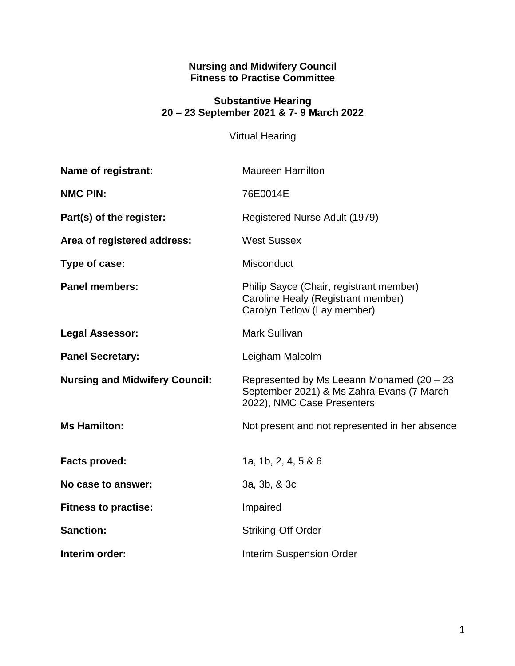#### **Nursing and Midwifery Council Fitness to Practise Committee**

#### **Substantive Hearing 20 – 23 September 2021 & 7- 9 March 2022**

## Virtual Hearing

| <b>Name of registrant:</b>            | <b>Maureen Hamilton</b>                                                                                              |
|---------------------------------------|----------------------------------------------------------------------------------------------------------------------|
| <b>NMC PIN:</b>                       | 76E0014E                                                                                                             |
| Part(s) of the register:              | Registered Nurse Adult (1979)                                                                                        |
| Area of registered address:           | <b>West Sussex</b>                                                                                                   |
| Type of case:                         | Misconduct                                                                                                           |
| <b>Panel members:</b>                 | Philip Sayce (Chair, registrant member)<br>Caroline Healy (Registrant member)<br>Carolyn Tetlow (Lay member)         |
| <b>Legal Assessor:</b>                | <b>Mark Sullivan</b>                                                                                                 |
| <b>Panel Secretary:</b>               | Leigham Malcolm                                                                                                      |
| <b>Nursing and Midwifery Council:</b> | Represented by Ms Leeann Mohamed (20 - 23<br>September 2021) & Ms Zahra Evans (7 March<br>2022), NMC Case Presenters |
| <b>Ms Hamilton:</b>                   | Not present and not represented in her absence                                                                       |
| <b>Facts proved:</b>                  | 1a, 1b, 2, 4, 5 & 6                                                                                                  |
| No case to answer:                    | 3a, 3b, & 3c                                                                                                         |
| <b>Fitness to practise:</b>           | Impaired                                                                                                             |
| <b>Sanction:</b>                      | <b>Striking-Off Order</b>                                                                                            |
| Interim order:                        | <b>Interim Suspension Order</b>                                                                                      |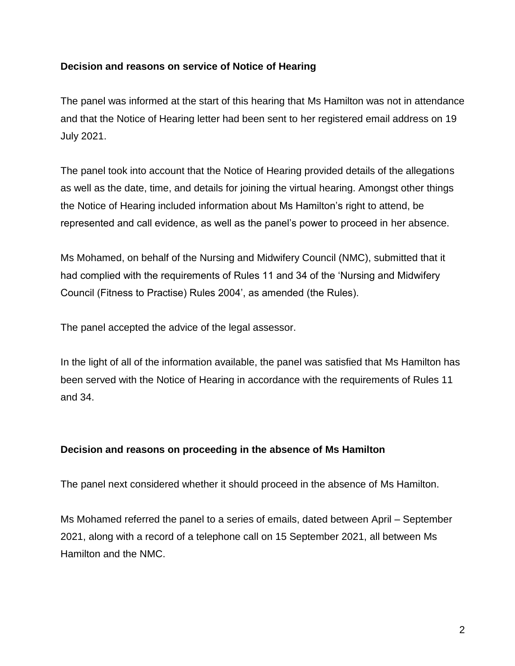## **Decision and reasons on service of Notice of Hearing**

The panel was informed at the start of this hearing that Ms Hamilton was not in attendance and that the Notice of Hearing letter had been sent to her registered email address on 19 July 2021.

The panel took into account that the Notice of Hearing provided details of the allegations as well as the date, time, and details for joining the virtual hearing. Amongst other things the Notice of Hearing included information about Ms Hamilton's right to attend, be represented and call evidence, as well as the panel's power to proceed in her absence.

Ms Mohamed, on behalf of the Nursing and Midwifery Council (NMC), submitted that it had complied with the requirements of Rules 11 and 34 of the 'Nursing and Midwifery Council (Fitness to Practise) Rules 2004', as amended (the Rules).

The panel accepted the advice of the legal assessor.

In the light of all of the information available, the panel was satisfied that Ms Hamilton has been served with the Notice of Hearing in accordance with the requirements of Rules 11 and 34.

#### **Decision and reasons on proceeding in the absence of Ms Hamilton**

The panel next considered whether it should proceed in the absence of Ms Hamilton.

Ms Mohamed referred the panel to a series of emails, dated between April – September 2021, along with a record of a telephone call on 15 September 2021, all between Ms Hamilton and the NMC.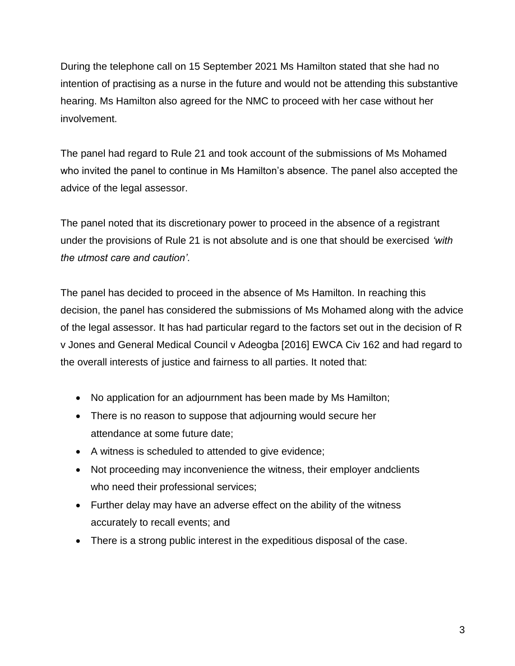During the telephone call on 15 September 2021 Ms Hamilton stated that she had no intention of practising as a nurse in the future and would not be attending this substantive hearing. Ms Hamilton also agreed for the NMC to proceed with her case without her involvement.

The panel had regard to Rule 21 and took account of the submissions of Ms Mohamed who invited the panel to continue in Ms Hamilton's absence. The panel also accepted the advice of the legal assessor.

The panel noted that its discretionary power to proceed in the absence of a registrant under the provisions of Rule 21 is not absolute and is one that should be exercised *'with the utmost care and caution'*.

The panel has decided to proceed in the absence of Ms Hamilton. In reaching this decision, the panel has considered the submissions of Ms Mohamed along with the advice of the legal assessor. It has had particular regard to the factors set out in the decision of R v Jones and General Medical Council v Adeogba [2016] EWCA Civ 162 and had regard to the overall interests of justice and fairness to all parties. It noted that:

- No application for an adjournment has been made by Ms Hamilton;
- There is no reason to suppose that adjourning would secure her attendance at some future date;
- A witness is scheduled to attended to give evidence;
- Not proceeding may inconvenience the witness, their employer andclients who need their professional services;
- Further delay may have an adverse effect on the ability of the witness accurately to recall events; and
- There is a strong public interest in the expeditious disposal of the case.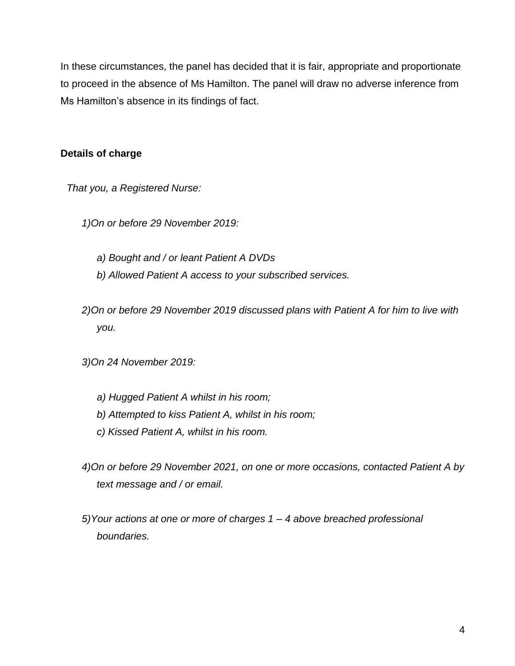In these circumstances, the panel has decided that it is fair, appropriate and proportionate to proceed in the absence of Ms Hamilton. The panel will draw no adverse inference from Ms Hamilton's absence in its findings of fact.

## **Details of charge**

*That you, a Registered Nurse:* 

- *1)On or before 29 November 2019:* 
	- *a) Bought and / or leant Patient A DVDs*
	- *b) Allowed Patient A access to your subscribed services.*
- *2)On or before 29 November 2019 discussed plans with Patient A for him to live with you.*
- *3)On 24 November 2019:* 
	- *a) Hugged Patient A whilst in his room;*
	- *b) Attempted to kiss Patient A, whilst in his room;*
	- *c) Kissed Patient A, whilst in his room.*
- *4)On or before 29 November 2021, on one or more occasions, contacted Patient A by text message and / or email.*
- *5)Your actions at one or more of charges 1 – 4 above breached professional boundaries.*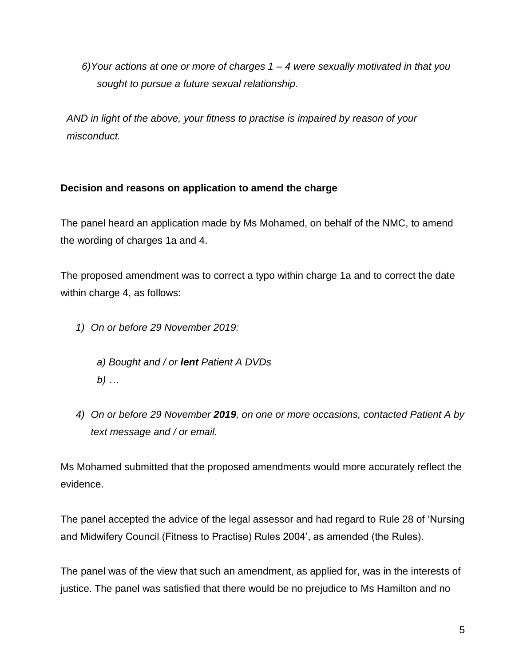*6)Your actions at one or more of charges 1 – 4 were sexually motivated in that you sought to pursue a future sexual relationship.*

*AND in light of the above, your fitness to practise is impaired by reason of your misconduct.*

## **Decision and reasons on application to amend the charge**

The panel heard an application made by Ms Mohamed, on behalf of the NMC, to amend the wording of charges 1a and 4.

The proposed amendment was to correct a typo within charge 1a and to correct the date within charge 4, as follows:

- *1) On or before 29 November 2019:* 
	- *a) Bought and / or lent Patient A DVDs b) …*
- *4) On or before 29 November 2019, on one or more occasions, contacted Patient A by text message and / or email.*

Ms Mohamed submitted that the proposed amendments would more accurately reflect the evidence.

The panel accepted the advice of the legal assessor and had regard to Rule 28 of 'Nursing and Midwifery Council (Fitness to Practise) Rules 2004', as amended (the Rules).

The panel was of the view that such an amendment, as applied for, was in the interests of justice. The panel was satisfied that there would be no prejudice to Ms Hamilton and no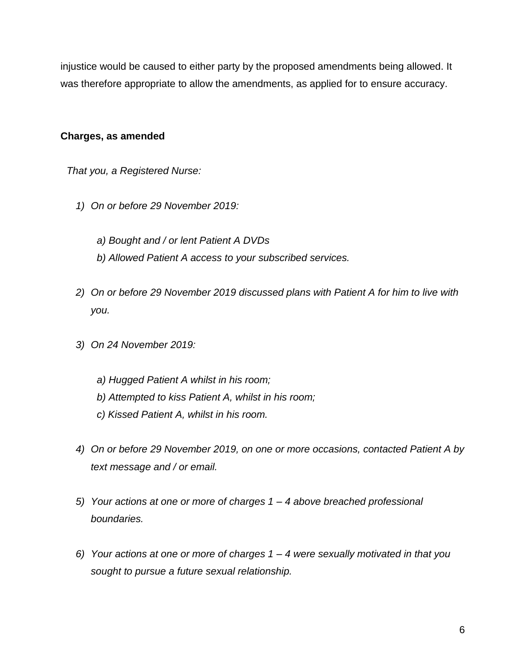injustice would be caused to either party by the proposed amendments being allowed. It was therefore appropriate to allow the amendments, as applied for to ensure accuracy.

### **Charges, as amended**

*That you, a Registered Nurse:* 

- *1) On or before 29 November 2019:* 
	- *a) Bought and / or lent Patient A DVDs*
	- *b) Allowed Patient A access to your subscribed services.*
- *2) On or before 29 November 2019 discussed plans with Patient A for him to live with you.*
- *3) On 24 November 2019:* 
	- *a) Hugged Patient A whilst in his room;*
	- *b) Attempted to kiss Patient A, whilst in his room;*
	- *c) Kissed Patient A, whilst in his room.*
- *4) On or before 29 November 2019, on one or more occasions, contacted Patient A by text message and / or email.*
- *5) Your actions at one or more of charges 1 – 4 above breached professional boundaries.*
- *6) Your actions at one or more of charges 1 – 4 were sexually motivated in that you sought to pursue a future sexual relationship.*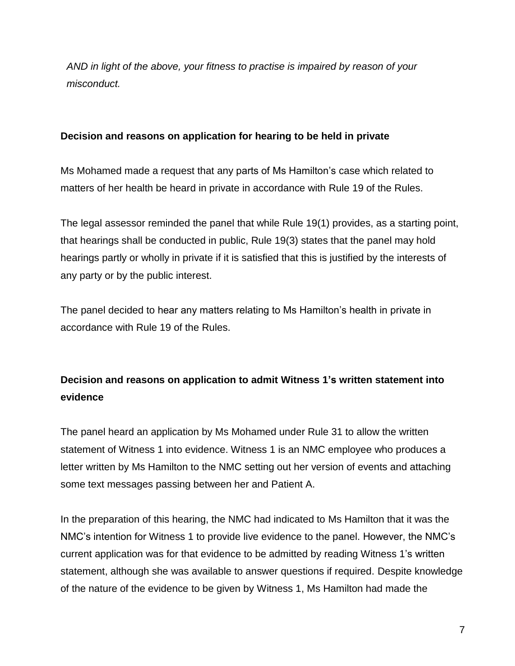*AND in light of the above, your fitness to practise is impaired by reason of your misconduct.*

### **Decision and reasons on application for hearing to be held in private**

Ms Mohamed made a request that any parts of Ms Hamilton's case which related to matters of her health be heard in private in accordance with Rule 19 of the Rules.

The legal assessor reminded the panel that while Rule 19(1) provides, as a starting point, that hearings shall be conducted in public, Rule 19(3) states that the panel may hold hearings partly or wholly in private if it is satisfied that this is justified by the interests of any party or by the public interest.

The panel decided to hear any matters relating to Ms Hamilton's health in private in accordance with Rule 19 of the Rules.

## **Decision and reasons on application to admit Witness 1's written statement into evidence**

The panel heard an application by Ms Mohamed under Rule 31 to allow the written statement of Witness 1 into evidence. Witness 1 is an NMC employee who produces a letter written by Ms Hamilton to the NMC setting out her version of events and attaching some text messages passing between her and Patient A.

In the preparation of this hearing, the NMC had indicated to Ms Hamilton that it was the NMC's intention for Witness 1 to provide live evidence to the panel. However, the NMC's current application was for that evidence to be admitted by reading Witness 1's written statement, although she was available to answer questions if required. Despite knowledge of the nature of the evidence to be given by Witness 1, Ms Hamilton had made the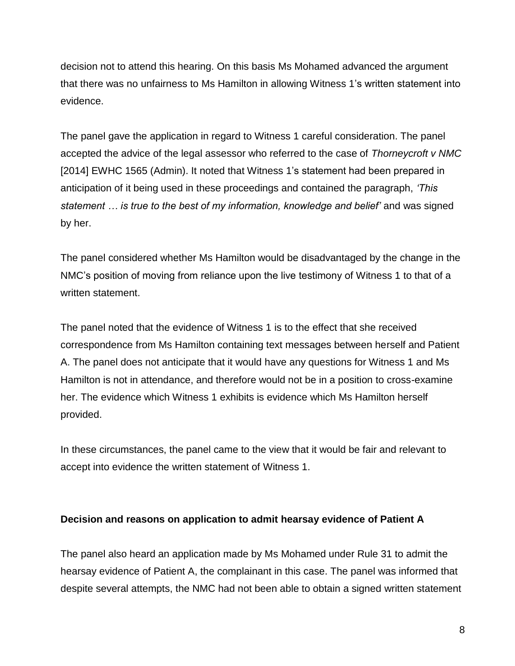decision not to attend this hearing. On this basis Ms Mohamed advanced the argument that there was no unfairness to Ms Hamilton in allowing Witness 1's written statement into evidence.

The panel gave the application in regard to Witness 1 careful consideration. The panel accepted the advice of the legal assessor who referred to the case of *Thorneycroft v NMC*  [2014] EWHC 1565 (Admin). It noted that Witness 1's statement had been prepared in anticipation of it being used in these proceedings and contained the paragraph, *'This statement … is true to the best of my information, knowledge and belief'* and was signed by her.

The panel considered whether Ms Hamilton would be disadvantaged by the change in the NMC's position of moving from reliance upon the live testimony of Witness 1 to that of a written statement.

The panel noted that the evidence of Witness 1 is to the effect that she received correspondence from Ms Hamilton containing text messages between herself and Patient A. The panel does not anticipate that it would have any questions for Witness 1 and Ms Hamilton is not in attendance, and therefore would not be in a position to cross-examine her. The evidence which Witness 1 exhibits is evidence which Ms Hamilton herself provided.

In these circumstances, the panel came to the view that it would be fair and relevant to accept into evidence the written statement of Witness 1.

#### **Decision and reasons on application to admit hearsay evidence of Patient A**

The panel also heard an application made by Ms Mohamed under Rule 31 to admit the hearsay evidence of Patient A, the complainant in this case. The panel was informed that despite several attempts, the NMC had not been able to obtain a signed written statement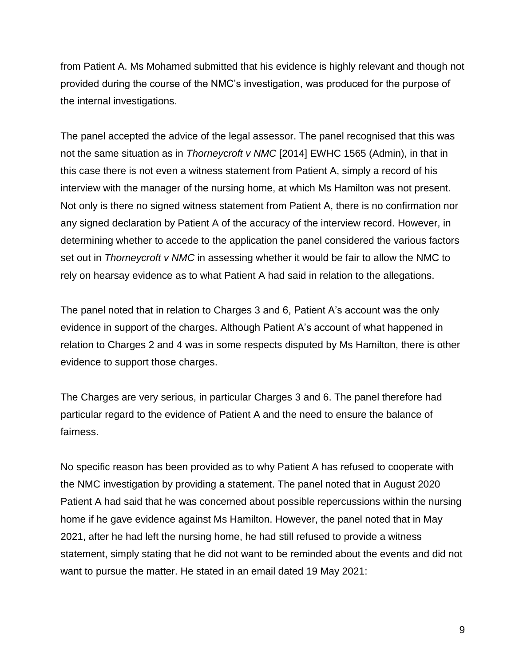from Patient A. Ms Mohamed submitted that his evidence is highly relevant and though not provided during the course of the NMC's investigation, was produced for the purpose of the internal investigations.

The panel accepted the advice of the legal assessor. The panel recognised that this was not the same situation as in *Thorneycroft v NMC* [2014] EWHC 1565 (Admin), in that in this case there is not even a witness statement from Patient A, simply a record of his interview with the manager of the nursing home, at which Ms Hamilton was not present. Not only is there no signed witness statement from Patient A, there is no confirmation nor any signed declaration by Patient A of the accuracy of the interview record. However, in determining whether to accede to the application the panel considered the various factors set out in *Thorneycroft v NMC* in assessing whether it would be fair to allow the NMC to rely on hearsay evidence as to what Patient A had said in relation to the allegations.

The panel noted that in relation to Charges 3 and 6, Patient A's account was the only evidence in support of the charges. Although Patient A's account of what happened in relation to Charges 2 and 4 was in some respects disputed by Ms Hamilton, there is other evidence to support those charges.

The Charges are very serious, in particular Charges 3 and 6. The panel therefore had particular regard to the evidence of Patient A and the need to ensure the balance of fairness.

No specific reason has been provided as to why Patient A has refused to cooperate with the NMC investigation by providing a statement. The panel noted that in August 2020 Patient A had said that he was concerned about possible repercussions within the nursing home if he gave evidence against Ms Hamilton. However, the panel noted that in May 2021, after he had left the nursing home, he had still refused to provide a witness statement, simply stating that he did not want to be reminded about the events and did not want to pursue the matter. He stated in an email dated 19 May 2021: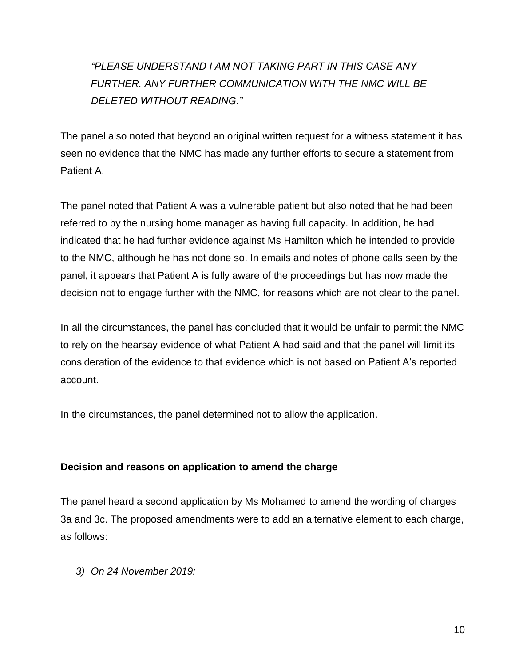# *"PLEASE UNDERSTAND I AM NOT TAKING PART IN THIS CASE ANY FURTHER. ANY FURTHER COMMUNICATION WITH THE NMC WILL BE DELETED WITHOUT READING."*

The panel also noted that beyond an original written request for a witness statement it has seen no evidence that the NMC has made any further efforts to secure a statement from Patient A.

The panel noted that Patient A was a vulnerable patient but also noted that he had been referred to by the nursing home manager as having full capacity. In addition, he had indicated that he had further evidence against Ms Hamilton which he intended to provide to the NMC, although he has not done so. In emails and notes of phone calls seen by the panel, it appears that Patient A is fully aware of the proceedings but has now made the decision not to engage further with the NMC, for reasons which are not clear to the panel.

In all the circumstances, the panel has concluded that it would be unfair to permit the NMC to rely on the hearsay evidence of what Patient A had said and that the panel will limit its consideration of the evidence to that evidence which is not based on Patient A's reported account.

In the circumstances, the panel determined not to allow the application.

## **Decision and reasons on application to amend the charge**

The panel heard a second application by Ms Mohamed to amend the wording of charges 3a and 3c. The proposed amendments were to add an alternative element to each charge, as follows:

*3) On 24 November 2019:*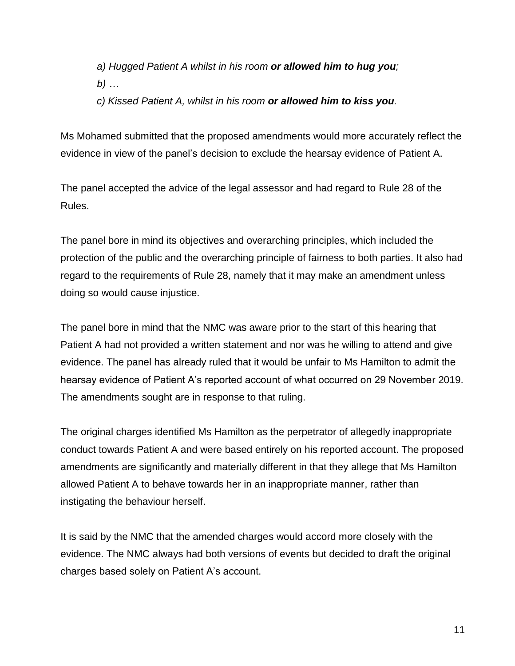*a) Hugged Patient A whilst in his room or allowed him to hug you; b) …* 

*c) Kissed Patient A, whilst in his room or allowed him to kiss you.* 

Ms Mohamed submitted that the proposed amendments would more accurately reflect the evidence in view of the panel's decision to exclude the hearsay evidence of Patient A.

The panel accepted the advice of the legal assessor and had regard to Rule 28 of the Rules.

The panel bore in mind its objectives and overarching principles, which included the protection of the public and the overarching principle of fairness to both parties. It also had regard to the requirements of Rule 28, namely that it may make an amendment unless doing so would cause injustice.

The panel bore in mind that the NMC was aware prior to the start of this hearing that Patient A had not provided a written statement and nor was he willing to attend and give evidence. The panel has already ruled that it would be unfair to Ms Hamilton to admit the hearsay evidence of Patient A's reported account of what occurred on 29 November 2019. The amendments sought are in response to that ruling.

The original charges identified Ms Hamilton as the perpetrator of allegedly inappropriate conduct towards Patient A and were based entirely on his reported account. The proposed amendments are significantly and materially different in that they allege that Ms Hamilton allowed Patient A to behave towards her in an inappropriate manner, rather than instigating the behaviour herself.

It is said by the NMC that the amended charges would accord more closely with the evidence. The NMC always had both versions of events but decided to draft the original charges based solely on Patient A's account.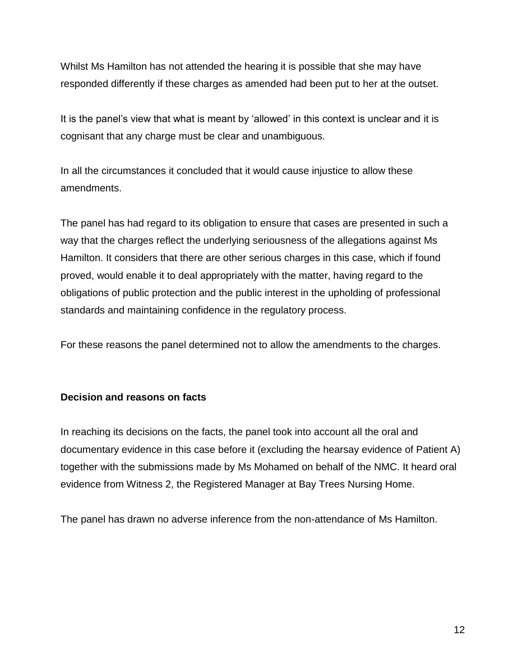Whilst Ms Hamilton has not attended the hearing it is possible that she may have responded differently if these charges as amended had been put to her at the outset.

It is the panel's view that what is meant by 'allowed' in this context is unclear and it is cognisant that any charge must be clear and unambiguous.

In all the circumstances it concluded that it would cause injustice to allow these amendments.

The panel has had regard to its obligation to ensure that cases are presented in such a way that the charges reflect the underlying seriousness of the allegations against Ms Hamilton. It considers that there are other serious charges in this case, which if found proved, would enable it to deal appropriately with the matter, having regard to the obligations of public protection and the public interest in the upholding of professional standards and maintaining confidence in the regulatory process.

For these reasons the panel determined not to allow the amendments to the charges.

## **Decision and reasons on facts**

In reaching its decisions on the facts, the panel took into account all the oral and documentary evidence in this case before it (excluding the hearsay evidence of Patient A) together with the submissions made by Ms Mohamed on behalf of the NMC. It heard oral evidence from Witness 2, the Registered Manager at Bay Trees Nursing Home.

The panel has drawn no adverse inference from the non-attendance of Ms Hamilton.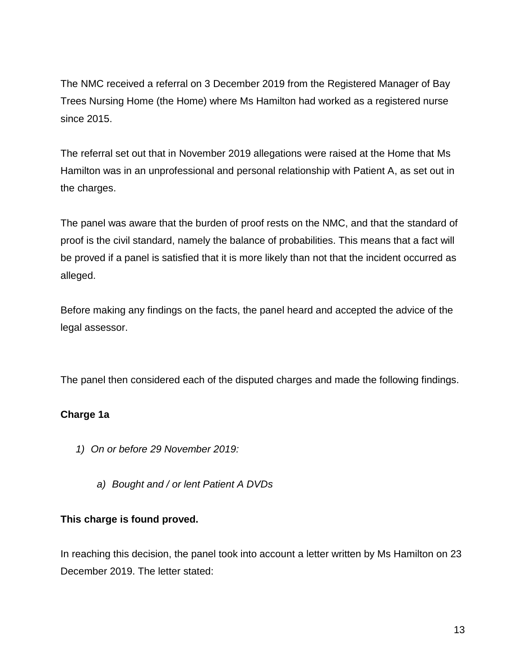The NMC received a referral on 3 December 2019 from the Registered Manager of Bay Trees Nursing Home (the Home) where Ms Hamilton had worked as a registered nurse since 2015.

The referral set out that in November 2019 allegations were raised at the Home that Ms Hamilton was in an unprofessional and personal relationship with Patient A, as set out in the charges.

The panel was aware that the burden of proof rests on the NMC, and that the standard of proof is the civil standard, namely the balance of probabilities. This means that a fact will be proved if a panel is satisfied that it is more likely than not that the incident occurred as alleged.

Before making any findings on the facts, the panel heard and accepted the advice of the legal assessor.

The panel then considered each of the disputed charges and made the following findings.

## **Charge 1a**

- *1) On or before 29 November 2019:* 
	- *a) Bought and / or lent Patient A DVDs*

## **This charge is found proved.**

In reaching this decision, the panel took into account a letter written by Ms Hamilton on 23 December 2019. The letter stated: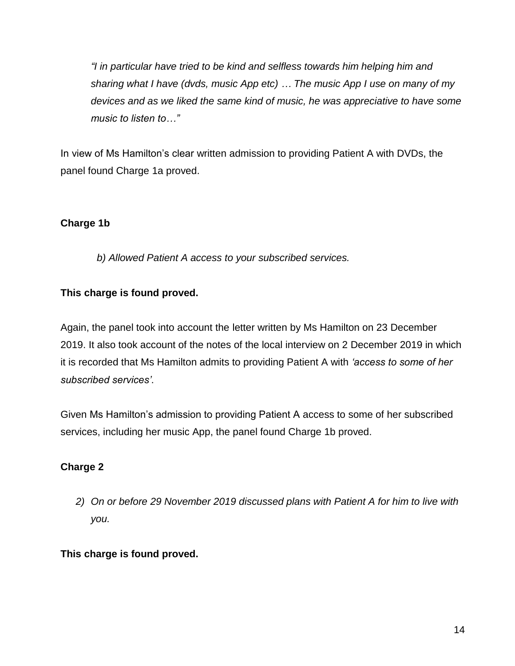*"I in particular have tried to be kind and selfless towards him helping him and sharing what I have (dvds, music App etc) … The music App I use on many of my devices and as we liked the same kind of music, he was appreciative to have some music to listen to…"*

In view of Ms Hamilton's clear written admission to providing Patient A with DVDs, the panel found Charge 1a proved.

## **Charge 1b**

*b) Allowed Patient A access to your subscribed services.*

## **This charge is found proved.**

Again, the panel took into account the letter written by Ms Hamilton on 23 December 2019. It also took account of the notes of the local interview on 2 December 2019 in which it is recorded that Ms Hamilton admits to providing Patient A with *'access to some of her subscribed services'*.

Given Ms Hamilton's admission to providing Patient A access to some of her subscribed services, including her music App, the panel found Charge 1b proved.

## **Charge 2**

*2) On or before 29 November 2019 discussed plans with Patient A for him to live with you.* 

## **This charge is found proved.**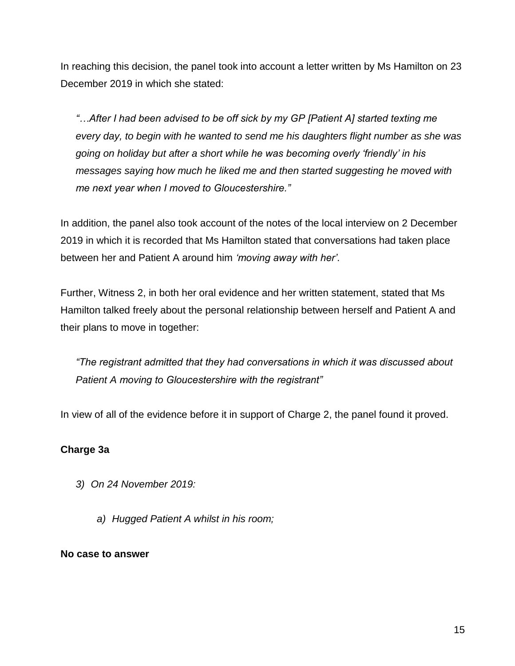In reaching this decision, the panel took into account a letter written by Ms Hamilton on 23 December 2019 in which she stated:

*"…After I had been advised to be off sick by my GP [Patient A] started texting me every day, to begin with he wanted to send me his daughters flight number as she was going on holiday but after a short while he was becoming overly 'friendly' in his messages saying how much he liked me and then started suggesting he moved with me next year when I moved to Gloucestershire."*

In addition, the panel also took account of the notes of the local interview on 2 December 2019 in which it is recorded that Ms Hamilton stated that conversations had taken place between her and Patient A around him *'moving away with her'*.

Further, Witness 2, in both her oral evidence and her written statement, stated that Ms Hamilton talked freely about the personal relationship between herself and Patient A and their plans to move in together:

*"The registrant admitted that they had conversations in which it was discussed about Patient A moving to Gloucestershire with the registrant"*

In view of all of the evidence before it in support of Charge 2, the panel found it proved.

## **Charge 3a**

- *3) On 24 November 2019:* 
	- *a) Hugged Patient A whilst in his room;*

#### **No case to answer**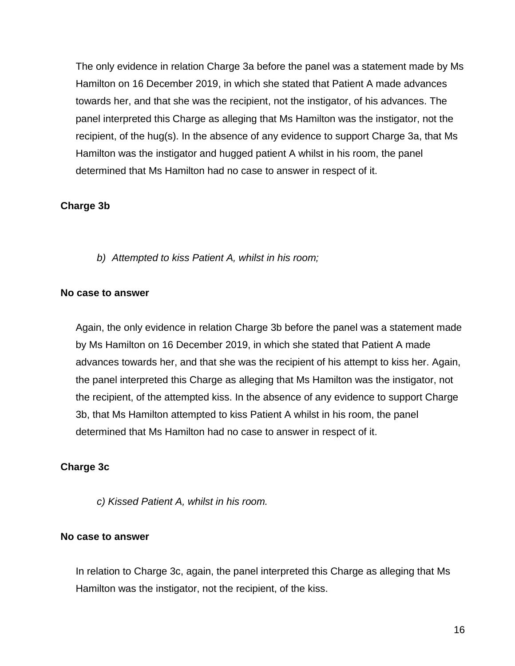The only evidence in relation Charge 3a before the panel was a statement made by Ms Hamilton on 16 December 2019, in which she stated that Patient A made advances towards her, and that she was the recipient, not the instigator, of his advances. The panel interpreted this Charge as alleging that Ms Hamilton was the instigator, not the recipient, of the hug(s). In the absence of any evidence to support Charge 3a, that Ms Hamilton was the instigator and hugged patient A whilst in his room, the panel determined that Ms Hamilton had no case to answer in respect of it.

#### **Charge 3b**

*b) Attempted to kiss Patient A, whilst in his room;* 

#### **No case to answer**

Again, the only evidence in relation Charge 3b before the panel was a statement made by Ms Hamilton on 16 December 2019, in which she stated that Patient A made advances towards her, and that she was the recipient of his attempt to kiss her. Again, the panel interpreted this Charge as alleging that Ms Hamilton was the instigator, not the recipient, of the attempted kiss. In the absence of any evidence to support Charge 3b, that Ms Hamilton attempted to kiss Patient A whilst in his room, the panel determined that Ms Hamilton had no case to answer in respect of it.

#### **Charge 3c**

*c) Kissed Patient A, whilst in his room.* 

#### **No case to answer**

In relation to Charge 3c, again, the panel interpreted this Charge as alleging that Ms Hamilton was the instigator, not the recipient, of the kiss.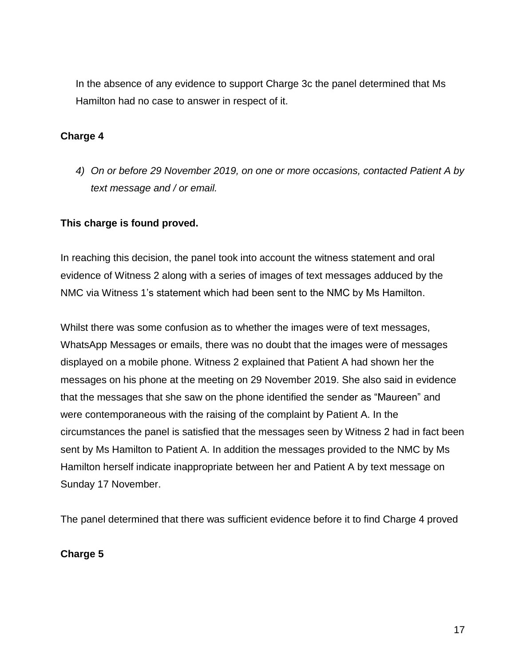In the absence of any evidence to support Charge 3c the panel determined that Ms Hamilton had no case to answer in respect of it.

### **Charge 4**

*4) On or before 29 November 2019, on one or more occasions, contacted Patient A by text message and / or email.* 

### **This charge is found proved.**

In reaching this decision, the panel took into account the witness statement and oral evidence of Witness 2 along with a series of images of text messages adduced by the NMC via Witness 1's statement which had been sent to the NMC by Ms Hamilton.

Whilst there was some confusion as to whether the images were of text messages, WhatsApp Messages or emails, there was no doubt that the images were of messages displayed on a mobile phone. Witness 2 explained that Patient A had shown her the messages on his phone at the meeting on 29 November 2019. She also said in evidence that the messages that she saw on the phone identified the sender as "Maureen" and were contemporaneous with the raising of the complaint by Patient A. In the circumstances the panel is satisfied that the messages seen by Witness 2 had in fact been sent by Ms Hamilton to Patient A. In addition the messages provided to the NMC by Ms Hamilton herself indicate inappropriate between her and Patient A by text message on Sunday 17 November.

The panel determined that there was sufficient evidence before it to find Charge 4 proved

**Charge 5**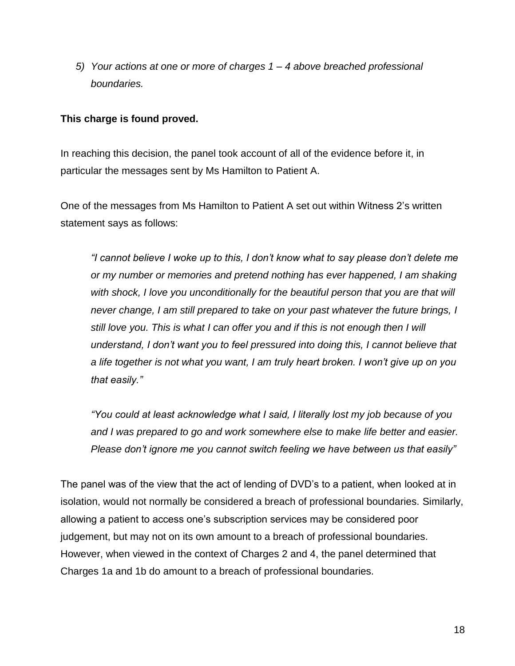*5) Your actions at one or more of charges 1 – 4 above breached professional boundaries.* 

### **This charge is found proved.**

In reaching this decision, the panel took account of all of the evidence before it, in particular the messages sent by Ms Hamilton to Patient A.

One of the messages from Ms Hamilton to Patient A set out within Witness 2's written statement says as follows:

*"I cannot believe I woke up to this, I don't know what to say please don't delete me or my number or memories and pretend nothing has ever happened, I am shaking*  with shock, I love you unconditionally for the beautiful person that you are that will *never change, I am still prepared to take on your past whatever the future brings, I still love you. This is what I can offer you and if this is not enough then I will understand, I don't want you to feel pressured into doing this, I cannot believe that a life together is not what you want, I am truly heart broken. I won't give up on you that easily."*

*"You could at least acknowledge what I said, I literally lost my job because of you and I was prepared to go and work somewhere else to make life better and easier. Please don't ignore me you cannot switch feeling we have between us that easily"*

The panel was of the view that the act of lending of DVD's to a patient, when looked at in isolation, would not normally be considered a breach of professional boundaries. Similarly, allowing a patient to access one's subscription services may be considered poor judgement, but may not on its own amount to a breach of professional boundaries. However, when viewed in the context of Charges 2 and 4, the panel determined that Charges 1a and 1b do amount to a breach of professional boundaries.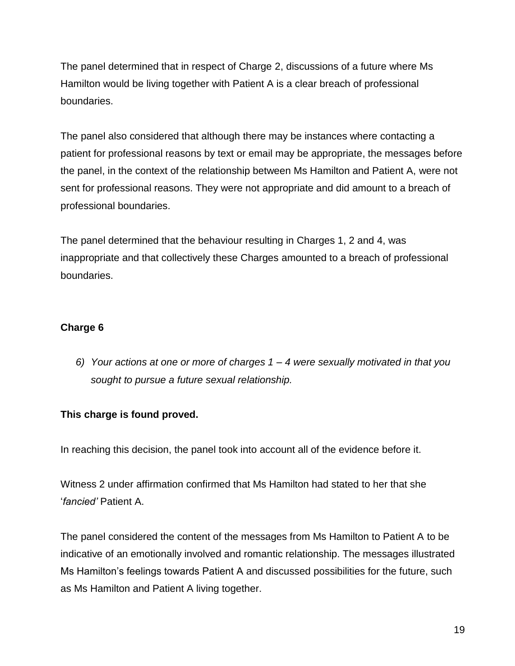The panel determined that in respect of Charge 2, discussions of a future where Ms Hamilton would be living together with Patient A is a clear breach of professional boundaries.

The panel also considered that although there may be instances where contacting a patient for professional reasons by text or email may be appropriate, the messages before the panel, in the context of the relationship between Ms Hamilton and Patient A, were not sent for professional reasons. They were not appropriate and did amount to a breach of professional boundaries.

The panel determined that the behaviour resulting in Charges 1, 2 and 4, was inappropriate and that collectively these Charges amounted to a breach of professional boundaries.

## **Charge 6**

*6) Your actions at one or more of charges 1 – 4 were sexually motivated in that you sought to pursue a future sexual relationship.*

## **This charge is found proved.**

In reaching this decision, the panel took into account all of the evidence before it.

Witness 2 under affirmation confirmed that Ms Hamilton had stated to her that she '*fancied'* Patient A.

The panel considered the content of the messages from Ms Hamilton to Patient A to be indicative of an emotionally involved and romantic relationship. The messages illustrated Ms Hamilton's feelings towards Patient A and discussed possibilities for the future, such as Ms Hamilton and Patient A living together.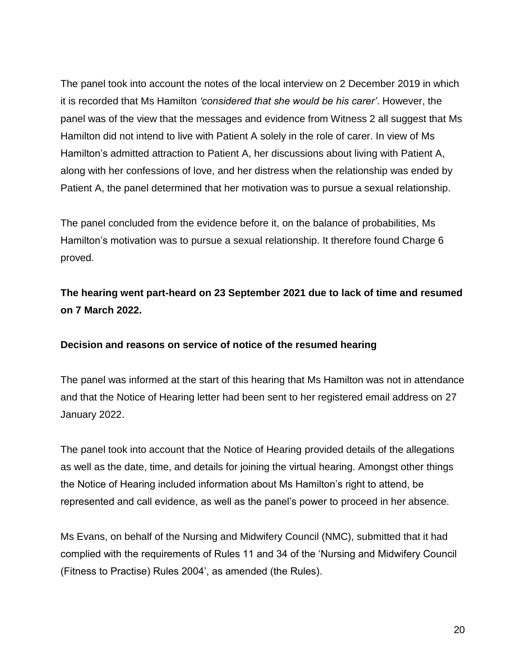The panel took into account the notes of the local interview on 2 December 2019 in which it is recorded that Ms Hamilton *'considered that she would be his carer'*. However, the panel was of the view that the messages and evidence from Witness 2 all suggest that Ms Hamilton did not intend to live with Patient A solely in the role of carer. In view of Ms Hamilton's admitted attraction to Patient A, her discussions about living with Patient A, along with her confessions of love, and her distress when the relationship was ended by Patient A, the panel determined that her motivation was to pursue a sexual relationship.

The panel concluded from the evidence before it, on the balance of probabilities, Ms Hamilton's motivation was to pursue a sexual relationship. It therefore found Charge 6 proved.

## **The hearing went part-heard on 23 September 2021 due to lack of time and resumed on 7 March 2022.**

#### **Decision and reasons on service of notice of the resumed hearing**

The panel was informed at the start of this hearing that Ms Hamilton was not in attendance and that the Notice of Hearing letter had been sent to her registered email address on 27 January 2022.

The panel took into account that the Notice of Hearing provided details of the allegations as well as the date, time, and details for joining the virtual hearing. Amongst other things the Notice of Hearing included information about Ms Hamilton's right to attend, be represented and call evidence, as well as the panel's power to proceed in her absence.

Ms Evans, on behalf of the Nursing and Midwifery Council (NMC), submitted that it had complied with the requirements of Rules 11 and 34 of the 'Nursing and Midwifery Council (Fitness to Practise) Rules 2004', as amended (the Rules).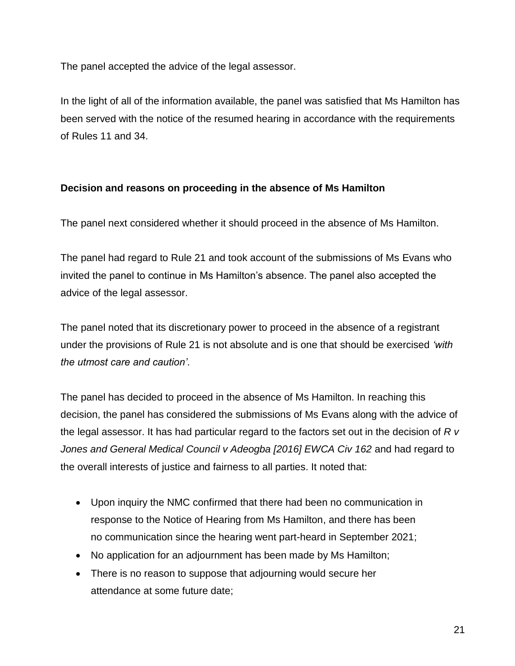The panel accepted the advice of the legal assessor.

In the light of all of the information available, the panel was satisfied that Ms Hamilton has been served with the notice of the resumed hearing in accordance with the requirements of Rules 11 and 34.

## **Decision and reasons on proceeding in the absence of Ms Hamilton**

The panel next considered whether it should proceed in the absence of Ms Hamilton.

The panel had regard to Rule 21 and took account of the submissions of Ms Evans who invited the panel to continue in Ms Hamilton's absence. The panel also accepted the advice of the legal assessor.

The panel noted that its discretionary power to proceed in the absence of a registrant under the provisions of Rule 21 is not absolute and is one that should be exercised *'with the utmost care and caution'*.

The panel has decided to proceed in the absence of Ms Hamilton. In reaching this decision, the panel has considered the submissions of Ms Evans along with the advice of the legal assessor. It has had particular regard to the factors set out in the decision of *R v*  Jones and General Medical Council v Adeogba [2016] EWCA Civ 162 and had regard to the overall interests of justice and fairness to all parties. It noted that:

- Upon inquiry the NMC confirmed that there had been no communication in response to the Notice of Hearing from Ms Hamilton, and there has been no communication since the hearing went part-heard in September 2021;
- No application for an adjournment has been made by Ms Hamilton;
- There is no reason to suppose that adjourning would secure her attendance at some future date;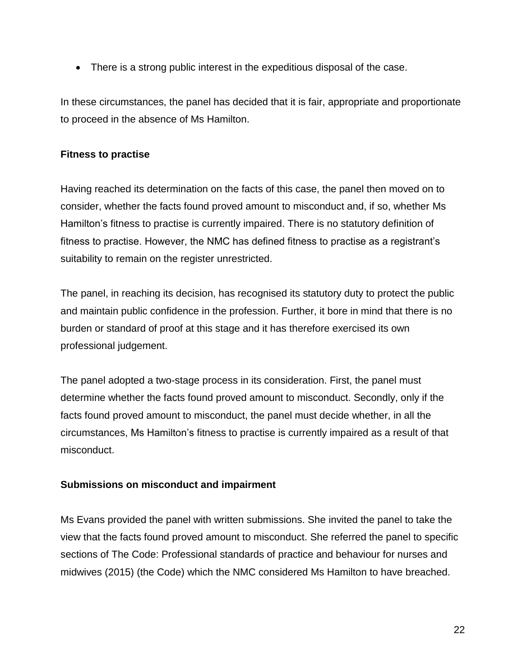There is a strong public interest in the expeditious disposal of the case.

In these circumstances, the panel has decided that it is fair, appropriate and proportionate to proceed in the absence of Ms Hamilton.

## **Fitness to practise**

Having reached its determination on the facts of this case, the panel then moved on to consider, whether the facts found proved amount to misconduct and, if so, whether Ms Hamilton's fitness to practise is currently impaired. There is no statutory definition of fitness to practise. However, the NMC has defined fitness to practise as a registrant's suitability to remain on the register unrestricted.

The panel, in reaching its decision, has recognised its statutory duty to protect the public and maintain public confidence in the profession. Further, it bore in mind that there is no burden or standard of proof at this stage and it has therefore exercised its own professional judgement.

The panel adopted a two-stage process in its consideration. First, the panel must determine whether the facts found proved amount to misconduct. Secondly, only if the facts found proved amount to misconduct, the panel must decide whether, in all the circumstances, Ms Hamilton's fitness to practise is currently impaired as a result of that misconduct.

## **Submissions on misconduct and impairment**

Ms Evans provided the panel with written submissions. She invited the panel to take the view that the facts found proved amount to misconduct. She referred the panel to specific sections of The Code: Professional standards of practice and behaviour for nurses and midwives (2015) (the Code) which the NMC considered Ms Hamilton to have breached.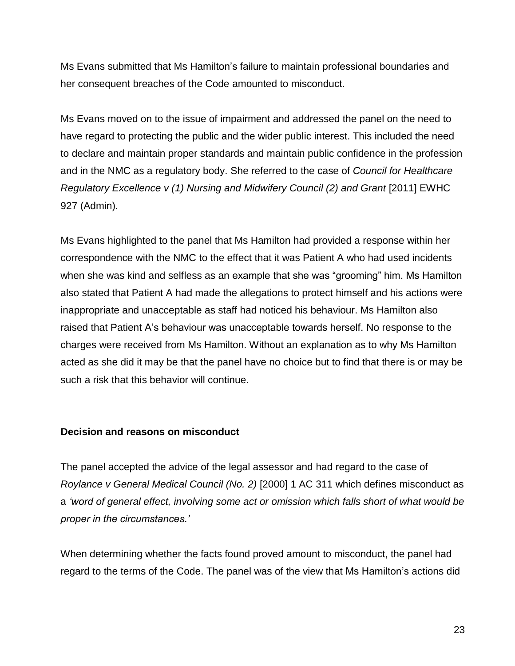Ms Evans submitted that Ms Hamilton's failure to maintain professional boundaries and her consequent breaches of the Code amounted to misconduct.

Ms Evans moved on to the issue of impairment and addressed the panel on the need to have regard to protecting the public and the wider public interest. This included the need to declare and maintain proper standards and maintain public confidence in the profession and in the NMC as a regulatory body. She referred to the case of *Council for Healthcare Regulatory Excellence v (1) Nursing and Midwifery Council (2) and Grant* [2011] EWHC 927 (Admin)*.* 

Ms Evans highlighted to the panel that Ms Hamilton had provided a response within her correspondence with the NMC to the effect that it was Patient A who had used incidents when she was kind and selfless as an example that she was "grooming" him. Ms Hamilton also stated that Patient A had made the allegations to protect himself and his actions were inappropriate and unacceptable as staff had noticed his behaviour. Ms Hamilton also raised that Patient A's behaviour was unacceptable towards herself. No response to the charges were received from Ms Hamilton. Without an explanation as to why Ms Hamilton acted as she did it may be that the panel have no choice but to find that there is or may be such a risk that this behavior will continue.

#### **Decision and reasons on misconduct**

The panel accepted the advice of the legal assessor and had regard to the case of *Roylance v General Medical Council (No. 2)* [2000] 1 AC 311 which defines misconduct as a *'word of general effect, involving some act or omission which falls short of what would be proper in the circumstances.'*

When determining whether the facts found proved amount to misconduct, the panel had regard to the terms of the Code. The panel was of the view that Ms Hamilton's actions did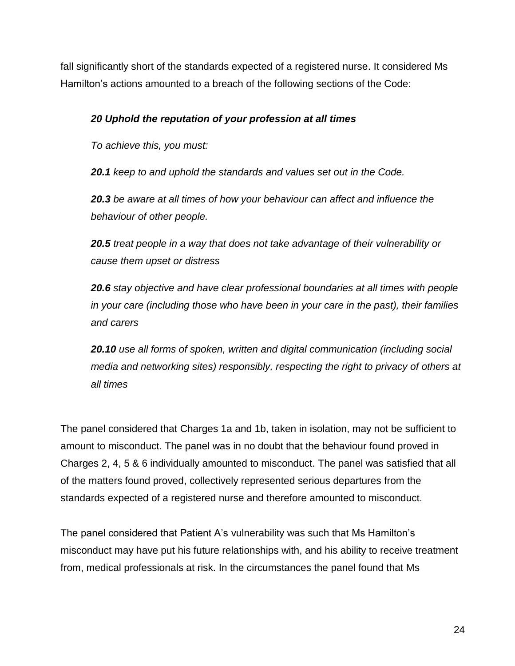fall significantly short of the standards expected of a registered nurse. It considered Ms Hamilton's actions amounted to a breach of the following sections of the Code:

## *20 Uphold the reputation of your profession at all times*

*To achieve this, you must:*

*20.1 keep to and uphold the standards and values set out in the Code.*

*20.3 be aware at all times of how your behaviour can affect and influence the behaviour of other people.*

*20.5 treat people in a way that does not take advantage of their vulnerability or cause them upset or distress*

*20.6 stay objective and have clear professional boundaries at all times with people in your care (including those who have been in your care in the past), their families and carers*

*20.10 use all forms of spoken, written and digital communication (including social media and networking sites) responsibly, respecting the right to privacy of others at all times*

The panel considered that Charges 1a and 1b, taken in isolation, may not be sufficient to amount to misconduct. The panel was in no doubt that the behaviour found proved in Charges 2, 4, 5 & 6 individually amounted to misconduct. The panel was satisfied that all of the matters found proved, collectively represented serious departures from the standards expected of a registered nurse and therefore amounted to misconduct.

The panel considered that Patient A's vulnerability was such that Ms Hamilton's misconduct may have put his future relationships with, and his ability to receive treatment from, medical professionals at risk. In the circumstances the panel found that Ms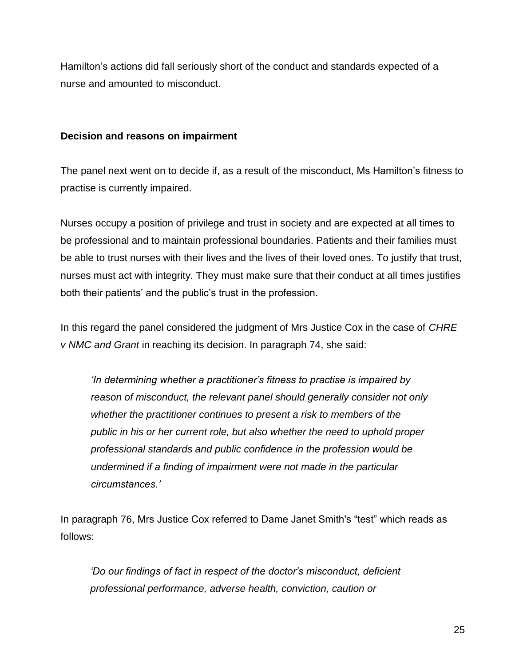Hamilton's actions did fall seriously short of the conduct and standards expected of a nurse and amounted to misconduct.

### **Decision and reasons on impairment**

The panel next went on to decide if, as a result of the misconduct, Ms Hamilton's fitness to practise is currently impaired.

Nurses occupy a position of privilege and trust in society and are expected at all times to be professional and to maintain professional boundaries. Patients and their families must be able to trust nurses with their lives and the lives of their loved ones. To justify that trust, nurses must act with integrity. They must make sure that their conduct at all times justifies both their patients' and the public's trust in the profession.

In this regard the panel considered the judgment of Mrs Justice Cox in the case of *CHRE v NMC and Grant* in reaching its decision. In paragraph 74, she said:

*'In determining whether a practitioner's fitness to practise is impaired by reason of misconduct, the relevant panel should generally consider not only whether the practitioner continues to present a risk to members of the public in his or her current role, but also whether the need to uphold proper professional standards and public confidence in the profession would be undermined if a finding of impairment were not made in the particular circumstances.'*

In paragraph 76, Mrs Justice Cox referred to Dame Janet Smith's "test" which reads as follows:

*'Do our findings of fact in respect of the doctor's misconduct, deficient professional performance, adverse health, conviction, caution or*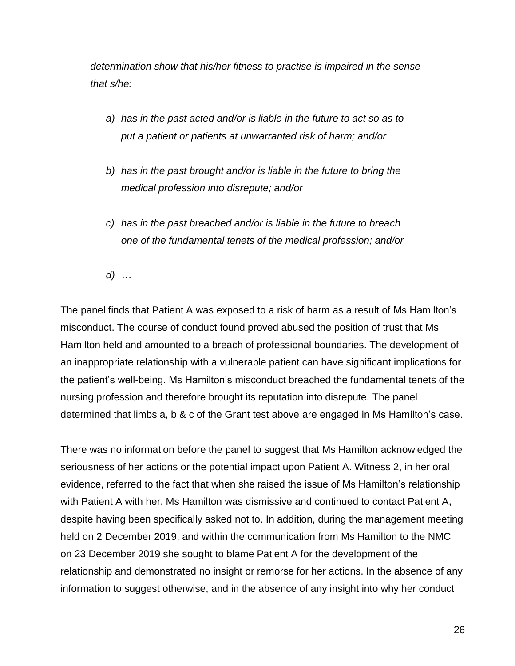*determination show that his/her fitness to practise is impaired in the sense that s/he:*

- *a) has in the past acted and/or is liable in the future to act so as to put a patient or patients at unwarranted risk of harm; and/or*
- *b) has in the past brought and/or is liable in the future to bring the medical profession into disrepute; and/or*
- *c) has in the past breached and/or is liable in the future to breach one of the fundamental tenets of the medical profession; and/or*

*d) …*

The panel finds that Patient A was exposed to a risk of harm as a result of Ms Hamilton's misconduct. The course of conduct found proved abused the position of trust that Ms Hamilton held and amounted to a breach of professional boundaries. The development of an inappropriate relationship with a vulnerable patient can have significant implications for the patient's well-being. Ms Hamilton's misconduct breached the fundamental tenets of the nursing profession and therefore brought its reputation into disrepute. The panel determined that limbs a, b & c of the Grant test above are engaged in Ms Hamilton's case.

There was no information before the panel to suggest that Ms Hamilton acknowledged the seriousness of her actions or the potential impact upon Patient A. Witness 2, in her oral evidence, referred to the fact that when she raised the issue of Ms Hamilton's relationship with Patient A with her, Ms Hamilton was dismissive and continued to contact Patient A, despite having been specifically asked not to. In addition, during the management meeting held on 2 December 2019, and within the communication from Ms Hamilton to the NMC on 23 December 2019 she sought to blame Patient A for the development of the relationship and demonstrated no insight or remorse for her actions. In the absence of any information to suggest otherwise, and in the absence of any insight into why her conduct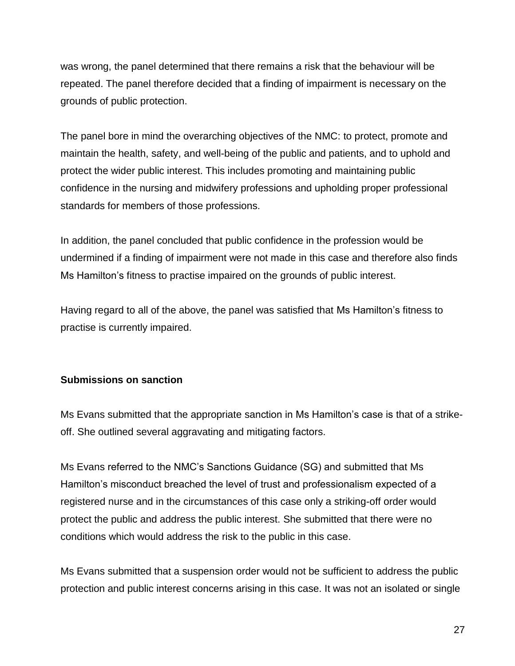was wrong, the panel determined that there remains a risk that the behaviour will be repeated. The panel therefore decided that a finding of impairment is necessary on the grounds of public protection.

The panel bore in mind the overarching objectives of the NMC: to protect, promote and maintain the health, safety, and well-being of the public and patients, and to uphold and protect the wider public interest. This includes promoting and maintaining public confidence in the nursing and midwifery professions and upholding proper professional standards for members of those professions.

In addition, the panel concluded that public confidence in the profession would be undermined if a finding of impairment were not made in this case and therefore also finds Ms Hamilton's fitness to practise impaired on the grounds of public interest.

Having regard to all of the above, the panel was satisfied that Ms Hamilton's fitness to practise is currently impaired.

## **Submissions on sanction**

Ms Evans submitted that the appropriate sanction in Ms Hamilton's case is that of a strikeoff. She outlined several aggravating and mitigating factors.

Ms Evans referred to the NMC's Sanctions Guidance (SG) and submitted that Ms Hamilton's misconduct breached the level of trust and professionalism expected of a registered nurse and in the circumstances of this case only a striking-off order would protect the public and address the public interest. She submitted that there were no conditions which would address the risk to the public in this case.

Ms Evans submitted that a suspension order would not be sufficient to address the public protection and public interest concerns arising in this case. It was not an isolated or single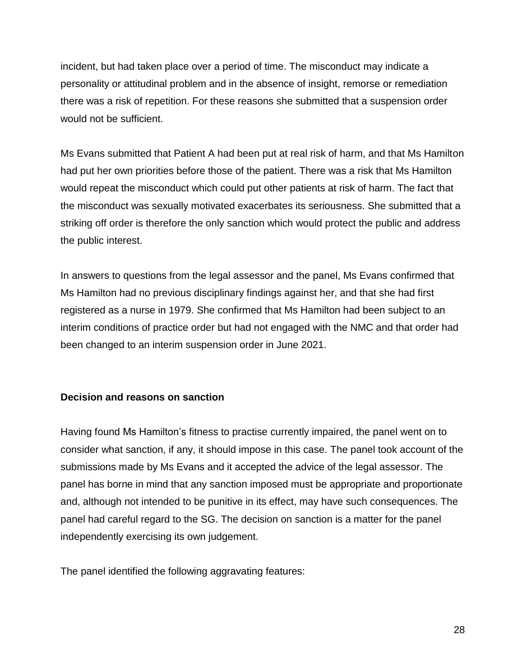incident, but had taken place over a period of time. The misconduct may indicate a personality or attitudinal problem and in the absence of insight, remorse or remediation there was a risk of repetition. For these reasons she submitted that a suspension order would not be sufficient.

Ms Evans submitted that Patient A had been put at real risk of harm, and that Ms Hamilton had put her own priorities before those of the patient. There was a risk that Ms Hamilton would repeat the misconduct which could put other patients at risk of harm. The fact that the misconduct was sexually motivated exacerbates its seriousness. She submitted that a striking off order is therefore the only sanction which would protect the public and address the public interest.

In answers to questions from the legal assessor and the panel, Ms Evans confirmed that Ms Hamilton had no previous disciplinary findings against her, and that she had first registered as a nurse in 1979. She confirmed that Ms Hamilton had been subject to an interim conditions of practice order but had not engaged with the NMC and that order had been changed to an interim suspension order in June 2021.

## **Decision and reasons on sanction**

Having found Ms Hamilton's fitness to practise currently impaired, the panel went on to consider what sanction, if any, it should impose in this case. The panel took account of the submissions made by Ms Evans and it accepted the advice of the legal assessor. The panel has borne in mind that any sanction imposed must be appropriate and proportionate and, although not intended to be punitive in its effect, may have such consequences. The panel had careful regard to the SG. The decision on sanction is a matter for the panel independently exercising its own judgement.

The panel identified the following aggravating features: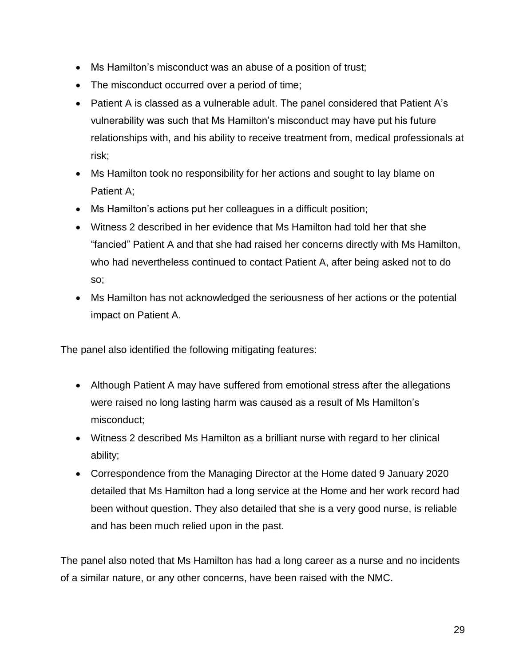- Ms Hamilton's misconduct was an abuse of a position of trust;
- The misconduct occurred over a period of time;
- Patient A is classed as a vulnerable adult. The panel considered that Patient A's vulnerability was such that Ms Hamilton's misconduct may have put his future relationships with, and his ability to receive treatment from, medical professionals at risk;
- Ms Hamilton took no responsibility for her actions and sought to lay blame on Patient A;
- Ms Hamilton's actions put her colleagues in a difficult position;
- Witness 2 described in her evidence that Ms Hamilton had told her that she "fancied" Patient A and that she had raised her concerns directly with Ms Hamilton, who had nevertheless continued to contact Patient A, after being asked not to do so;
- Ms Hamilton has not acknowledged the seriousness of her actions or the potential impact on Patient A.

The panel also identified the following mitigating features:

- Although Patient A may have suffered from emotional stress after the allegations were raised no long lasting harm was caused as a result of Ms Hamilton's misconduct;
- Witness 2 described Ms Hamilton as a brilliant nurse with regard to her clinical ability;
- Correspondence from the Managing Director at the Home dated 9 January 2020 detailed that Ms Hamilton had a long service at the Home and her work record had been without question. They also detailed that she is a very good nurse, is reliable and has been much relied upon in the past.

The panel also noted that Ms Hamilton has had a long career as a nurse and no incidents of a similar nature, or any other concerns, have been raised with the NMC.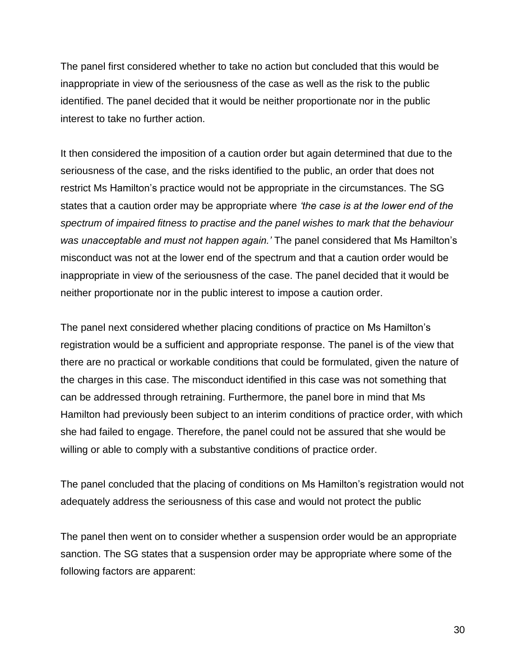The panel first considered whether to take no action but concluded that this would be inappropriate in view of the seriousness of the case as well as the risk to the public identified. The panel decided that it would be neither proportionate nor in the public interest to take no further action.

It then considered the imposition of a caution order but again determined that due to the seriousness of the case, and the risks identified to the public, an order that does not restrict Ms Hamilton's practice would not be appropriate in the circumstances. The SG states that a caution order may be appropriate where *'the case is at the lower end of the spectrum of impaired fitness to practise and the panel wishes to mark that the behaviour was unacceptable and must not happen again.'* The panel considered that Ms Hamilton's misconduct was not at the lower end of the spectrum and that a caution order would be inappropriate in view of the seriousness of the case. The panel decided that it would be neither proportionate nor in the public interest to impose a caution order.

The panel next considered whether placing conditions of practice on Ms Hamilton's registration would be a sufficient and appropriate response. The panel is of the view that there are no practical or workable conditions that could be formulated, given the nature of the charges in this case. The misconduct identified in this case was not something that can be addressed through retraining. Furthermore, the panel bore in mind that Ms Hamilton had previously been subject to an interim conditions of practice order, with which she had failed to engage. Therefore, the panel could not be assured that she would be willing or able to comply with a substantive conditions of practice order.

The panel concluded that the placing of conditions on Ms Hamilton's registration would not adequately address the seriousness of this case and would not protect the public

The panel then went on to consider whether a suspension order would be an appropriate sanction. The SG states that a suspension order may be appropriate where some of the following factors are apparent:

30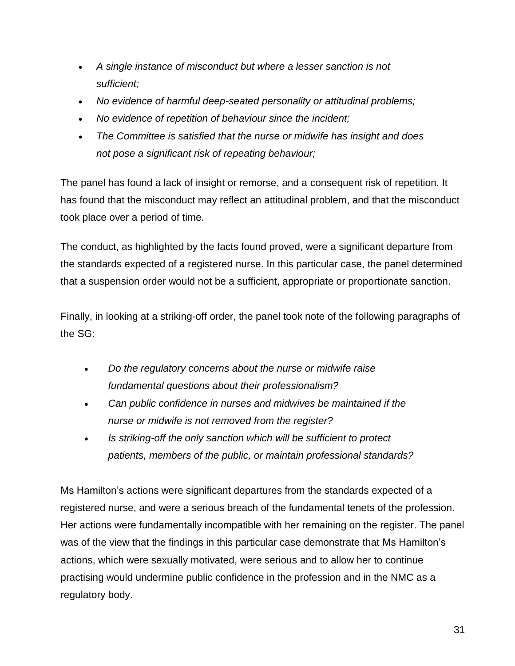- *A single instance of misconduct but where a lesser sanction is not sufficient;*
- *No evidence of harmful deep-seated personality or attitudinal problems;*
- *No evidence of repetition of behaviour since the incident;*
- *The Committee is satisfied that the nurse or midwife has insight and does not pose a significant risk of repeating behaviour;*

The panel has found a lack of insight or remorse, and a consequent risk of repetition. It has found that the misconduct may reflect an attitudinal problem, and that the misconduct took place over a period of time.

The conduct, as highlighted by the facts found proved, were a significant departure from the standards expected of a registered nurse. In this particular case, the panel determined that a suspension order would not be a sufficient, appropriate or proportionate sanction.

Finally, in looking at a striking-off order, the panel took note of the following paragraphs of the SG:

- *Do the regulatory concerns about the nurse or midwife raise fundamental questions about their professionalism?*
- *Can public confidence in nurses and midwives be maintained if the nurse or midwife is not removed from the register?*
- *Is striking-off the only sanction which will be sufficient to protect patients, members of the public, or maintain professional standards?*

Ms Hamilton's actions were significant departures from the standards expected of a registered nurse, and were a serious breach of the fundamental tenets of the profession. Her actions were fundamentally incompatible with her remaining on the register. The panel was of the view that the findings in this particular case demonstrate that Ms Hamilton's actions, which were sexually motivated, were serious and to allow her to continue practising would undermine public confidence in the profession and in the NMC as a regulatory body.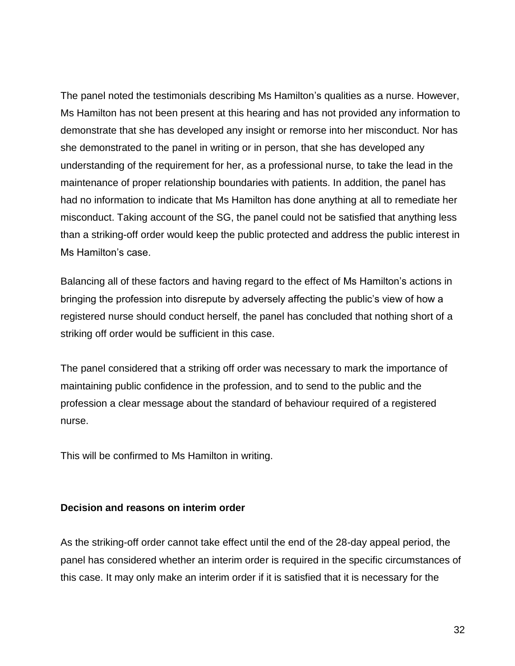The panel noted the testimonials describing Ms Hamilton's qualities as a nurse. However, Ms Hamilton has not been present at this hearing and has not provided any information to demonstrate that she has developed any insight or remorse into her misconduct. Nor has she demonstrated to the panel in writing or in person, that she has developed any understanding of the requirement for her, as a professional nurse, to take the lead in the maintenance of proper relationship boundaries with patients. In addition, the panel has had no information to indicate that Ms Hamilton has done anything at all to remediate her misconduct. Taking account of the SG, the panel could not be satisfied that anything less than a striking-off order would keep the public protected and address the public interest in Ms Hamilton's case.

Balancing all of these factors and having regard to the effect of Ms Hamilton's actions in bringing the profession into disrepute by adversely affecting the public's view of how a registered nurse should conduct herself, the panel has concluded that nothing short of a striking off order would be sufficient in this case.

The panel considered that a striking off order was necessary to mark the importance of maintaining public confidence in the profession, and to send to the public and the profession a clear message about the standard of behaviour required of a registered nurse.

This will be confirmed to Ms Hamilton in writing.

#### **Decision and reasons on interim order**

As the striking-off order cannot take effect until the end of the 28-day appeal period, the panel has considered whether an interim order is required in the specific circumstances of this case. It may only make an interim order if it is satisfied that it is necessary for the